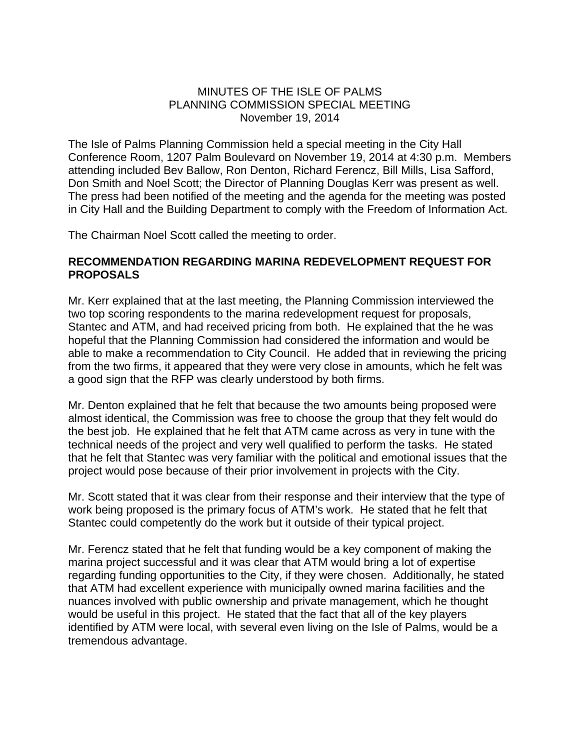## MINUTES OF THE ISLE OF PALMS PLANNING COMMISSION SPECIAL MEETING November 19, 2014

The Isle of Palms Planning Commission held a special meeting in the City Hall Conference Room, 1207 Palm Boulevard on November 19, 2014 at 4:30 p.m. Members attending included Bev Ballow, Ron Denton, Richard Ferencz, Bill Mills, Lisa Safford, Don Smith and Noel Scott; the Director of Planning Douglas Kerr was present as well. The press had been notified of the meeting and the agenda for the meeting was posted in City Hall and the Building Department to comply with the Freedom of Information Act.

The Chairman Noel Scott called the meeting to order.

## **RECOMMENDATION REGARDING MARINA REDEVELOPMENT REQUEST FOR PROPOSALS**

Mr. Kerr explained that at the last meeting, the Planning Commission interviewed the two top scoring respondents to the marina redevelopment request for proposals, Stantec and ATM, and had received pricing from both. He explained that the he was hopeful that the Planning Commission had considered the information and would be able to make a recommendation to City Council. He added that in reviewing the pricing from the two firms, it appeared that they were very close in amounts, which he felt was a good sign that the RFP was clearly understood by both firms.

Mr. Denton explained that he felt that because the two amounts being proposed were almost identical, the Commission was free to choose the group that they felt would do the best job. He explained that he felt that ATM came across as very in tune with the technical needs of the project and very well qualified to perform the tasks. He stated that he felt that Stantec was very familiar with the political and emotional issues that the project would pose because of their prior involvement in projects with the City.

Mr. Scott stated that it was clear from their response and their interview that the type of work being proposed is the primary focus of ATM's work. He stated that he felt that Stantec could competently do the work but it outside of their typical project.

Mr. Ferencz stated that he felt that funding would be a key component of making the marina project successful and it was clear that ATM would bring a lot of expertise regarding funding opportunities to the City, if they were chosen. Additionally, he stated that ATM had excellent experience with municipally owned marina facilities and the nuances involved with public ownership and private management, which he thought would be useful in this project. He stated that the fact that all of the key players identified by ATM were local, with several even living on the Isle of Palms, would be a tremendous advantage.